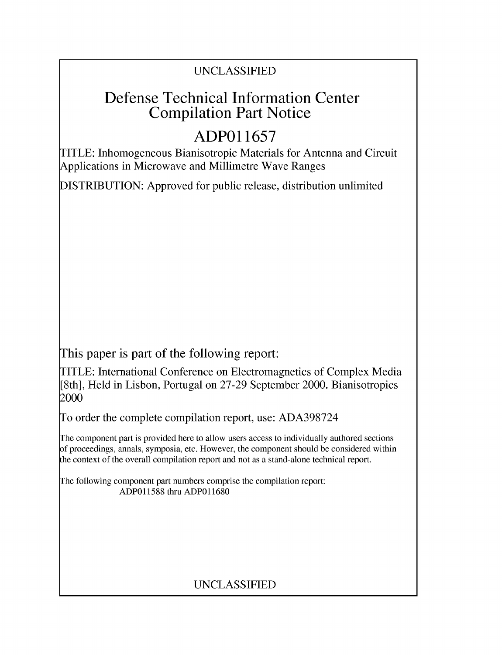### UNCLASSIFIED

# Defense Technical Information Center Compilation Part Notice

# **ADPO 11657**

TITLE: Inhomogeneous Bianisotropic Materials for Antenna and Circuit Applications in Microwave and Millimetre Wave Ranges

DISTRIBUTION: Approved for public release, distribution unlimited

This paper is part of the following report:

TITLE: International Conference on Electromagnetics of Complex Media [8th], Held in Lisbon, Portugal on 27-29 September 2000. Bianisotropics 2000

To order the complete compilation report, use: ADA398724

The component part is provided here to allow users access to individually authored sections f proceedings, annals, symposia, etc. However, the component should be considered within [he context of the overall compilation report and not as a stand-alone technical report.

The following component part numbers comprise the compilation report: ADP011588 thru ADP011680

### UNCLASSIFIED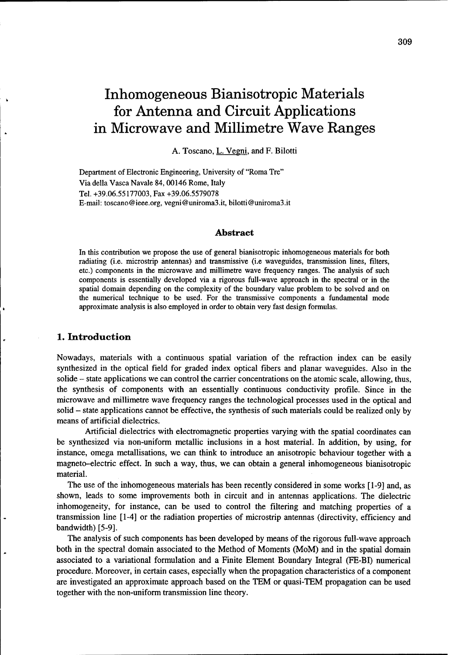# Inhomogeneous Bianisotropic Materials for Antenna and Circuit Applications in Microwave and Millimetre Wave Ranges

A. Toscano, L. Vegni, and F. Bilotti

Department of Electronic Engineering, University of "Roma Tre" Via della Vasca Navale 84, 00146 Rome, Italy Tel. +39.06.55177003, Fax +39.06.5579078 E-mail: toscano@ieee.org, vegni@uniroma3.it, bilotti@uniroma3.it

#### Abstract

In this contribution we propose the use of general bianisotropic inhomogeneous materials for both radiating (i.e. microstrip antennas) and transmissive (i.e waveguides, transmission lines, filters, etc.) components in the microwave and millimetre wave frequency ranges. The analysis of such components is essentially developed via a rigorous full-wave approach in the spectral or in the spatial domain depending on the complexity of the boundary value problem to be solved and on the numerical technique to be used. For the transmissive components a fundamental mode approximate analysis is also employed in order to obtain very fast design formulas.

#### **1.** Introduction

Nowadays, materials with a continuous spatial variation of the refraction index can be easily synthesized in the optical field for graded index optical fibers and planar waveguides. Also in the solide – state applications we can control the carrier concentrations on the atomic scale, allowing, thus, the synthesis of components with an essentially continuous conductivity profile. Since in the microwave and millimetre wave frequency ranges the technological processes used in the optical and solid – state applications cannot be effective, the synthesis of such materials could be realized only by means of artificial dielectrics.

Artificial dielectrics with electromagnetic properties varying with the spatial coordinates can be synthesized via non-uniform metallic inclusions in a host material. In addition, by using, for instance, omega metallisations, we can think to introduce an anisotropic behaviour together with a magneto-electric effect. In such a way, thus, we can obtain a general inhomogeneous bianisotropic material.

The use of the inhomogeneous materials has been recently considered in some works [1-9] and, as shown, leads to some improvements both in circuit and in antennas applications. The dielectric inhomogeneity, for instance, can be used to control the filtering and matching properties of a transmission line [1-4] or the radiation properties of microstrip antennas (directivity, efficiency and bandwidth) [5-9].

The analysis of such components has been developed by means of the rigorous full-wave approach both in the spectral domain associated to the Method of Moments (MoM) and in the spatial domain associated to a variational formulation and a Finite Element Boundary Integral (FE-BI) numerical procedure. Moreover, in certain cases, especially when the propagation characteristics of a component are investigated an approximate approach based on the TEM or quasi-TEM propagation can be used together with the non-uniform transmission line theory.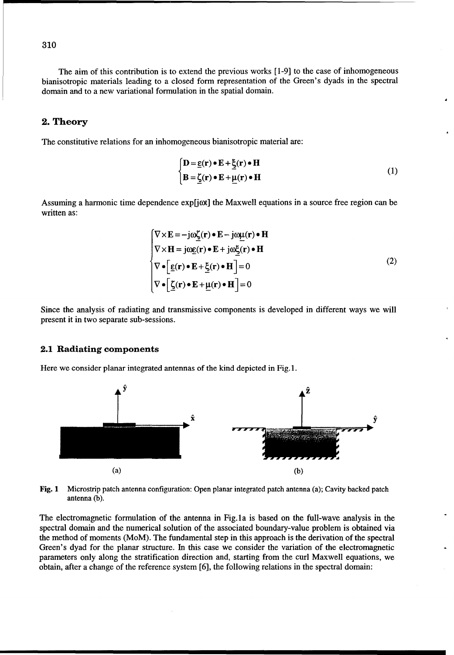The aim of this contribution is to extend the previous works [1-9] to the case of inhomogeneous bianisotropic materials leading to a closed form representation of the Green's dyads in the spectral domain and to a new variational formulation in the spatial domain.

#### 2. Theory

The constitutive relations for an inhomogeneous bianisotropic material are:

$$
\begin{cases}\n\mathbf{D} = \underline{\mathbf{\varepsilon}}(\mathbf{r}) \bullet \mathbf{E} + \underline{\mathbf{\xi}}(\mathbf{r}) \bullet \mathbf{H} \\
\mathbf{B} = \underline{\mathbf{\zeta}}(\mathbf{r}) \bullet \mathbf{E} + \underline{\mu}(\mathbf{r}) \bullet \mathbf{H}\n\end{cases}
$$
\n(1)

Assuming a harmonic time dependence exp[jot] the Maxwell equations in a source free region can be written as:

$$
\begin{cases}\n\nabla \times \mathbf{E} = -j\omega \underline{\zeta}(\mathbf{r}) \bullet \mathbf{E} - j\omega \underline{\mu}(\mathbf{r}) \bullet \mathbf{H} \\
\nabla \times \mathbf{H} = j\omega \underline{\epsilon}(\mathbf{r}) \bullet \mathbf{E} + j\omega \underline{\zeta}(\mathbf{r}) \bullet \mathbf{H} \\
\nabla \bullet [\underline{\epsilon}(\mathbf{r}) \bullet \mathbf{E} + \underline{\zeta}(\mathbf{r}) \bullet \mathbf{H}] = 0 \\
\nabla \bullet [\underline{\zeta}(\mathbf{r}) \bullet \mathbf{E} + \underline{\mu}(\mathbf{r}) \bullet \mathbf{H}] = 0\n\end{cases}
$$
\n(2)

Since the analysis of radiating and transmissive components is developed in different ways we will present it in two separate sub-sessions.

#### 2.1 Radiating components

Here we consider planar integrated antennas of the kind depicted in Fig. 1.



Fig. 1 Microstrip patch antenna configuration: Open planar integrated patch antenna (a); Cavity backed patch antenna **(b).**

The electromagnetic formulation of the antenna in Fig. 1a is based on the full-wave analysis in the spectral domain and the numerical solution of the associated boundary-value problem is obtained via the method of moments (MoM). The fundamental step in this approach is the derivation of the spectral Green's dyad for the planar structure. In this case we consider the variation of the electromagnetic parameters only along the stratification direction and, starting from the curl Maxwell equations, we obtain, after a change of the reference system [6], the following relations in the spectral domain: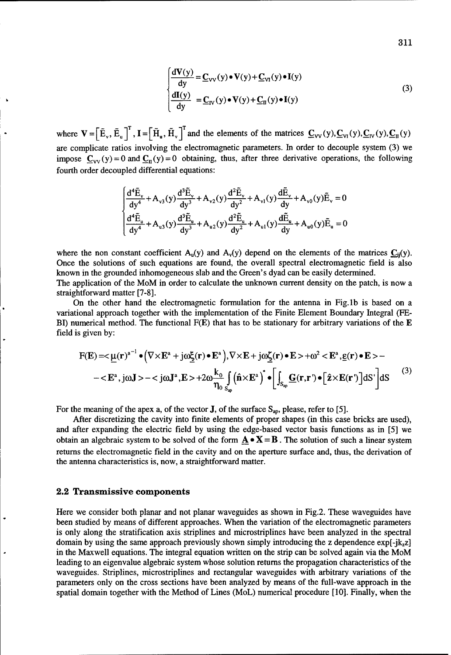$$
\begin{cases}\n\frac{d\mathbf{V}(y)}{dy} = \underline{\mathbf{C}}_{VV}(y) \cdot \mathbf{V}(y) + \underline{\mathbf{C}}_{VI}(y) \cdot \mathbf{I}(y) \\
\frac{d\mathbf{I}(y)}{dy} = \underline{\mathbf{C}}_{IV}(y) \cdot \mathbf{V}(y) + \underline{\mathbf{C}}_{II}(y) \cdot \mathbf{I}(y)\n\end{cases}
$$
\n(3)

where  $\mathbf{V} = \left[\tilde{\mathbf{E}}_{v}, \tilde{\mathbf{E}}_{u}\right]^{T}$ ,  $\mathbf{I} = \left[\tilde{\mathbf{H}}_{u}, \tilde{\mathbf{H}}_{v}\right]^{T}$  and the elements of the matrices  $\mathbf{C}_{VV}(y), \mathbf{C}_{VI}(y), \mathbf{C}_{IV}(y), \mathbf{C}_{II}(y)$ are complicate ratios involving the electromagnetic parameters. In order to decouple system (3) we impose  $C_{VV}(y) = 0$  and  $C_{II}(y) = 0$  obtaining, thus, after three derivative operations, the following fourth order decoupled differential equations:

$$
\begin{cases} \frac{d^4 \tilde{E}_v}{dy^4} + A_{v3}(y) \frac{d^3 \tilde{E}_v}{dy^3} + A_{v2}(y) \frac{d^2 \tilde{E}_v}{dy^2} + A_{v1}(y) \frac{d \tilde{E}_v}{dy} + A_{v0}(y) \tilde{E}_v = 0\\ \frac{d^4 \tilde{E}_u}{dy^4} + A_{u3}(y) \frac{d^3 \tilde{E}_u}{dy^3} + A_{u2}(y) \frac{d^2 \tilde{E}_u}{dy^2} + A_{u1}(y) \frac{d \tilde{E}_u}{dy} + A_{u0}(y) \tilde{E}_u = 0 \end{cases}
$$

where the non constant coefficient  $A_u(y)$  and  $A_v(y)$  depend on the elements of the matrices  $C_{ii}(y)$ . Once the solutions of such equations are found, the overall spectral electromagnetic field is also known in the grounded inhomogeneous slab and the Green's dyad can be easily determined. The application of the MoM in order to calculate the unknown current density on the patch, is now a straightforward matter [7-8].

On the other hand the electromagnetic formulation for the antenna in Fig.lb is based on a variational approach together with the implementation of the Finite Element Boundary Integral (FE-BI) numerical method. The functional  $F(E)$  that has to be stationary for arbitrary variations of the  $E$ field is given by:

$$
F(E) = \langle \underline{\mu}(r)^{a^{-1}} \bullet (\nabla \times E^a + j\omega \underline{\xi}(r) \bullet E^a), \nabla \times E + j\omega \underline{\xi}(r) \bullet E \rangle + \omega^2 < E^a, \underline{\epsilon}(r) \bullet E \rangle - \langle E^a, j\omega J \rangle - \langle j\omega J^a, E \rangle + 2\omega \frac{k_0}{\eta_0} \int_{S_{ap}} (\hat{\mathbf{n}} \times E^a)^* \bullet \left[ \int_{S_{ap}} \underline{G}(r, r') \bullet [\hat{z} \times E(r')] dS' \right] dS
$$
\n<sup>(3)</sup>

For the meaning of the apex a, of the vector **J**, of the surface  $S_{ap}$ , please, refer to [5].

After discretizing the cavity into finite elements of proper shapes (in this case bricks are used), and after expanding the electric field by using the edge-based vector basis functions as in [5] we obtain an algebraic system to be solved of the form  $\mathbf{A} \bullet \mathbf{X} = \mathbf{B}$ . The solution of such a linear system returns the electromagnetic field in the cavity and on the aperture surface and, thus, the derivation of the antenna characteristics is, now, a straightforward matter.

#### 2.2 Transmissive components

Here we consider both planar and not planar waveguides as shown in Fig.2. These waveguides have been studied by means of different approaches. When the variation of the electromagnetic parameters is only along the stratification axis striplines and microstriplines have been analyzed in the spectral domain by using the same approach previously shown simply introducing the z dependence  $exp[-ik_z z]$ in the Maxwell equations. The integral equation written on the strip can be solved again via the MoM leading to an eigenvalue algebraic system whose solution returns the propagation characteristics of the waveguides. Striplines, microstriplines and rectangular waveguides with arbitrary variations of the parameters only on the cross sections have been analyzed by means of the full-wave approach in the spatial domain together with the Method of Lines (MoL) numerical procedure [10]. Finally, when the